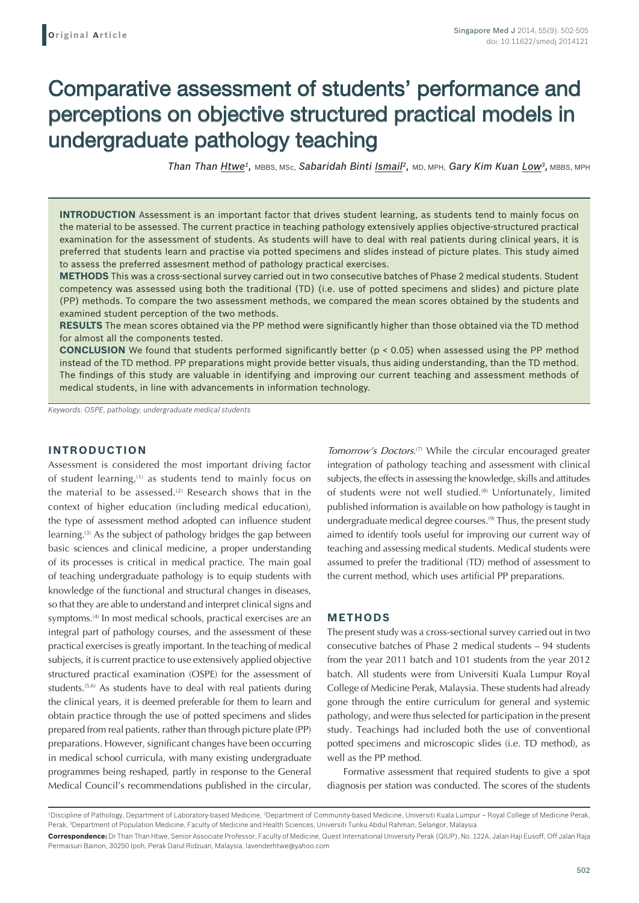# Comparative assessment of students' performance and perceptions on objective structured practical models in undergraduate pathology teaching

*Than Than Htwe1,* MBBS, MSc, *Sabaridah Binti Ismail2,* MD, MPH, *Gary Kim Kuan Low3,* MBBS, MPH

**INTRODUCTION** Assessment is an important factor that drives student learning, as students tend to mainly focus on the material to be assessed. The current practice in teaching pathology extensively applies objective-structured practical examination for the assessment of students. As students will have to deal with real patients during clinical years, it is preferred that students learn and practise via potted specimens and slides instead of picture plates. This study aimed to assess the preferred assesment method of pathology practical exercises.

**METHODS** This was a cross-sectional survey carried out in two consecutive batches of Phase 2 medical students. Student competency was assessed using both the traditional (TD) (i.e. use of potted specimens and slides) and picture plate (PP) methods. To compare the two assessment methods, we compared the mean scores obtained by the students and examined student perception of the two methods.

**RESULTS** The mean scores obtained via the PP method were significantly higher than those obtained via the TD method for almost all the components tested.

**CONCLUSION** We found that students performed significantly better (p < 0.05) when assessed using the PP method instead of the TD method. PP preparations might provide better visuals, thus aiding understanding, than the TD method. The findings of this study are valuable in identifying and improving our current teaching and assessment methods of medical students, in line with advancements in information technology.

*Keywords: OSPE, pathology, undergraduate medical students*

## **INTRODUCTION**

Assessment is considered the most important driving factor of student learning,(1) as students tend to mainly focus on the material to be assessed.<sup>(2)</sup> Research shows that in the context of higher education (including medical education), the type of assessment method adopted can influence student learning.<sup>(3)</sup> As the subject of pathology bridges the gap between basic sciences and clinical medicine, a proper understanding of its processes is critical in medical practice. The main goal of teaching undergraduate pathology is to equip students with knowledge of the functional and structural changes in diseases, so that they are able to understand and interpret clinical signs and symptoms.<sup>(4)</sup> In most medical schools, practical exercises are an integral part of pathology courses, and the assessment of these practical exercises is greatly important. In the teaching of medical subjects, it is current practice to use extensively applied objective structured practical examination (OSPE) for the assessment of students.<sup>(5,6)</sup> As students have to deal with real patients during the clinical years, it is deemed preferable for them to learn and obtain practice through the use of potted specimens and slides prepared from real patients, rather than through picture plate (PP) preparations. However, significant changes have been occurring in medical school curricula, with many existing undergraduate programmes being reshaped, partly in response to the General Medical Council's recommendations published in the circular,

*Tomorrow's Doctors*. (7) While the circular encouraged greater integration of pathology teaching and assessment with clinical subjects, the effects in assessing the knowledge, skills and attitudes of students were not well studied.<sup>(8)</sup> Unfortunately, limited published information is available on how pathology is taught in undergraduate medical degree courses.<sup>(9)</sup> Thus, the present study aimed to identify tools useful for improving our current way of teaching and assessing medical students. Medical students were assumed to prefer the traditional (TD) method of assessment to the current method, which uses artificial PP preparations.

### **METHODS**

The present study was a cross-sectional survey carried out in two consecutive batches of Phase 2 medical students – 94 students from the year 2011 batch and 101 students from the year 2012 batch. All students were from Universiti Kuala Lumpur Royal College of Medicine Perak, Malaysia. These students had already gone through the entire curriculum for general and systemic pathology, and were thus selected for participation in the present study. Teachings had included both the use of conventional potted specimens and microscopic slides (i.e. TD method), as well as the PP method.

Formative assessment that required students to give a spot diagnosis per station was conducted. The scores of the students

<sup>&</sup>lt;sup>1</sup>Discipline of Pathology, Department of Laboratory-based Medicine, <sup>2</sup>Department of Community-based Medicine, Universiti Kuala Lumpur – Royal College of Medicine Perak, Perak, <sup>3</sup>Department of Population Medicine, Faculty of Medicine and Health Sciences, Universiti Tunku Abdul Rahman, Selangor, Malaysia **Correspondence:** Dr Than Than Htwe, Senior Associate Professor, Faculty of Medicine, Quest International University Perak (QIUP), No. 122A, Jalan Haji Eusoff, Off Jalan Raja Permaisuri Bainon, 30250 Ipoh, Perak Darul Ridzuan, Malaysia. lavenderhtwe@yahoo.com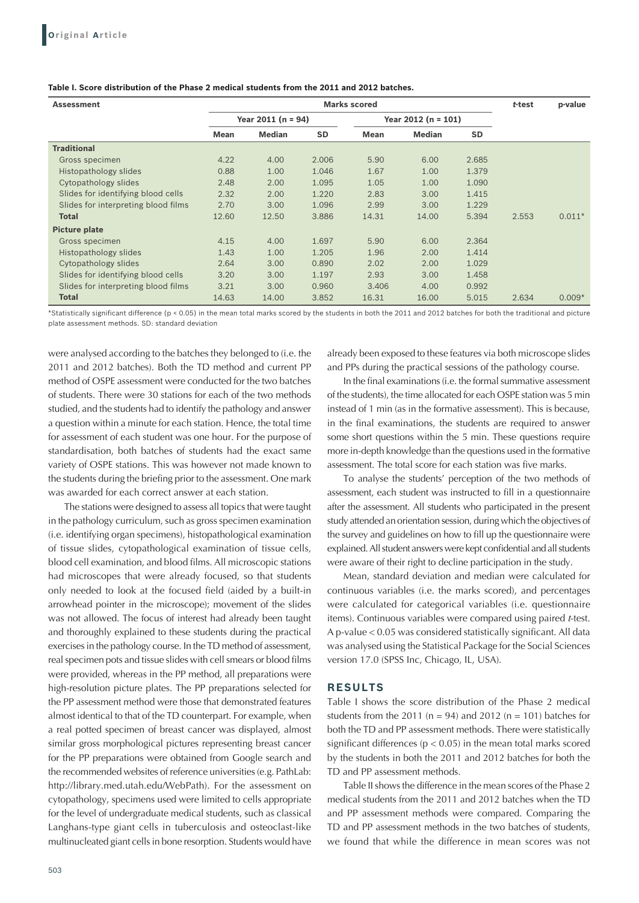| <b>Assessment</b>                   | <b>Marks scored</b>  |               |       |             |                       |           |       | p-value  |
|-------------------------------------|----------------------|---------------|-------|-------------|-----------------------|-----------|-------|----------|
|                                     | Year $2011$ (n = 94) |               |       |             | Year $2012$ (n = 101) |           |       |          |
|                                     | <b>Mean</b>          | <b>Median</b> | SD    | <b>Mean</b> | <b>Median</b>         | <b>SD</b> |       |          |
| <b>Traditional</b>                  |                      |               |       |             |                       |           |       |          |
| Gross specimen                      | 4.22                 | 4.00          | 2.006 | 5.90        | 6.00                  | 2.685     |       |          |
| Histopathology slides               | 0.88                 | 1.00          | 1.046 | 1.67        | 1.00                  | 1.379     |       |          |
| Cytopathology slides                | 2.48                 | 2.00          | 1.095 | 1.05        | 1.00                  | 1.090     |       |          |
| Slides for identifying blood cells  | 2.32                 | 2.00          | 1.220 | 2.83        | 3.00                  | 1.415     |       |          |
| Slides for interpreting blood films | 2.70                 | 3.00          | 1.096 | 2.99        | 3.00                  | 1.229     |       |          |
| Total                               | 12.60                | 12.50         | 3.886 | 14.31       | 14.00                 | 5.394     | 2.553 | $0.011*$ |
| <b>Picture plate</b>                |                      |               |       |             |                       |           |       |          |
| Gross specimen                      | 4.15                 | 4.00          | 1.697 | 5.90        | 6.00                  | 2.364     |       |          |
| Histopathology slides               | 1.43                 | 1.00          | 1.205 | 1.96        | 2.00                  | 1.414     |       |          |
| Cytopathology slides                | 2.64                 | 3.00          | 0.890 | 2.02        | 2.00                  | 1.029     |       |          |
| Slides for identifying blood cells  | 3.20                 | 3.00          | 1.197 | 2.93        | 3.00                  | 1.458     |       |          |
| Slides for interpreting blood films | 3.21                 | 3.00          | 0.960 | 3.406       | 4.00                  | 0.992     |       |          |
| <b>Total</b>                        | 14.63                | 14.00         | 3.852 | 16.31       | 16.00                 | 5.015     | 2.634 | $0.009*$ |

#### **Table I. Score distribution of the Phase 2 medical students from the 2011 and 2012 batches.**

\*Statistically significant difference (p < 0.05) in the mean total marks scored by the students in both the 2011 and 2012 batches for both the traditional and picture plate assessment methods. SD: standard deviation

were analysed according to the batches they belonged to (i.e. the 2011 and 2012 batches). Both the TD method and current PP method of OSPE assessment were conducted for the two batches of students. There were 30 stations for each of the two methods studied, and the students had to identify the pathology and answer a question within a minute for each station. Hence, the total time for assessment of each student was one hour. For the purpose of standardisation, both batches of students had the exact same variety of OSPE stations. This was however not made known to the students during the briefing prior to the assessment. One mark was awarded for each correct answer at each station.

The stations were designed to assess all topics that were taught in the pathology curriculum, such as gross specimen examination (i.e. identifying organ specimens), histopathological examination of tissue slides, cytopathological examination of tissue cells, blood cell examination, and blood films. All microscopic stations had microscopes that were already focused, so that students only needed to look at the focused field (aided by a built-in arrowhead pointer in the microscope); movement of the slides was not allowed. The focus of interest had already been taught and thoroughly explained to these students during the practical exercises in the pathology course. In the TD method of assessment, real specimen pots and tissue slides with cell smears or blood films were provided, whereas in the PP method, all preparations were high-resolution picture plates. The PP preparations selected for the PP assessment method were those that demonstrated features almost identical to that of the TD counterpart. For example, when a real potted specimen of breast cancer was displayed, almost similar gross morphological pictures representing breast cancer for the PP preparations were obtained from Google search and the recommended websites of reference universities (e.g. PathLab: http://library.med.utah.edu/WebPath). For the assessment on cytopathology, specimens used were limited to cells appropriate for the level of undergraduate medical students, such as classical Langhans-type giant cells in tuberculosis and osteoclast-like multinucleated giant cells in bone resorption. Students would have already been exposed to these features via both microscope slides and PPs during the practical sessions of the pathology course.

In the final examinations (i.e. the formal summative assessment of the students), the time allocated for each OSPE station was 5 min instead of 1 min (as in the formative assessment). This is because, in the final examinations, the students are required to answer some short questions within the 5 min. These questions require more in-depth knowledge than the questions used in the formative assessment. The total score for each station was five marks.

To analyse the students' perception of the two methods of assessment, each student was instructed to fill in a questionnaire after the assessment. All students who participated in the present study attended an orientation session, during which the objectives of the survey and guidelines on how to fill up the questionnaire were explained. All student answers were kept confidential and all students were aware of their right to decline participation in the study.

Mean, standard deviation and median were calculated for continuous variables (i.e. the marks scored), and percentages were calculated for categorical variables (i.e. questionnaire items). Continuous variables were compared using paired *t*-test. A p-value < 0.05 was considered statistically significant. All data was analysed using the Statistical Package for the Social Sciences version 17.0 (SPSS Inc, Chicago, IL, USA).

#### **RESULTS**

Table I shows the score distribution of the Phase 2 medical students from the 2011 ( $n = 94$ ) and 2012 ( $n = 101$ ) batches for both the TD and PP assessment methods. There were statistically significant differences ( $p < 0.05$ ) in the mean total marks scored by the students in both the 2011 and 2012 batches for both the TD and PP assessment methods.

Table II shows the difference in the mean scores of the Phase 2 medical students from the 2011 and 2012 batches when the TD and PP assessment methods were compared. Comparing the TD and PP assessment methods in the two batches of students, we found that while the difference in mean scores was not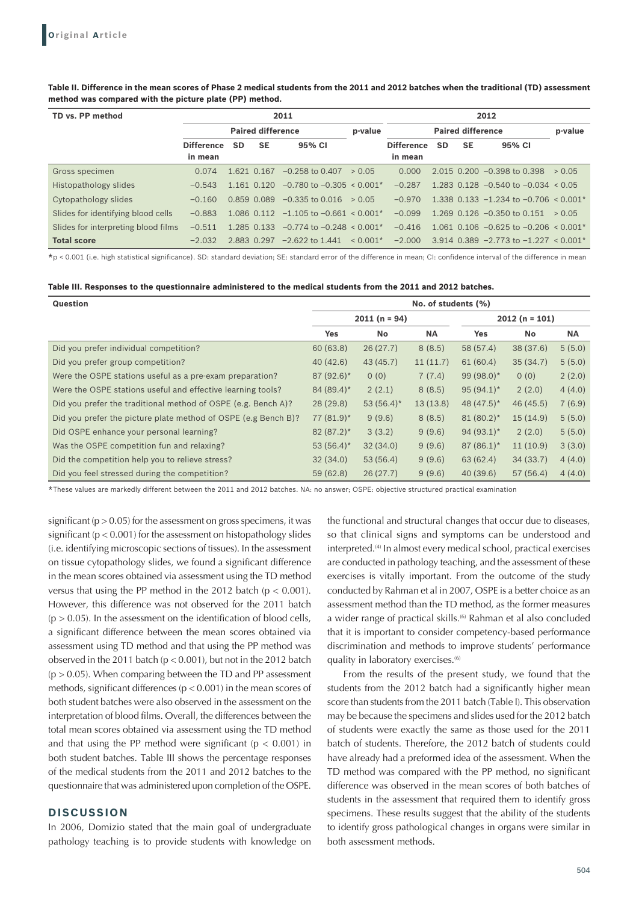#### **Table II. Difference in the mean scores of Phase 2 medical students from the 2011 and 2012 batches when the traditional (TD) assessment method was compared with the picture plate (PP) method.**

| TD vs. PP method                    | 2011                     |             |             |                                           | 2012                     |                   |           |           |                                                         |        |
|-------------------------------------|--------------------------|-------------|-------------|-------------------------------------------|--------------------------|-------------------|-----------|-----------|---------------------------------------------------------|--------|
|                                     | <b>Paired difference</b> |             |             | p-value                                   | <b>Paired difference</b> |                   |           |           | p-value                                                 |        |
|                                     | <b>Difference</b>        | <b>SD</b>   | <b>SE</b>   | 95% CI                                    |                          | <b>Difference</b> | <b>SD</b> | <b>SE</b> | 95% CI                                                  |        |
|                                     | in mean                  |             |             |                                           |                          | in mean           |           |           |                                                         |        |
| Gross specimen                      | 0.074                    | 1.621 0.167 |             | $-0.258$ to 0.407                         | > 0.05                   | 0.000             |           |           | $2.015$ 0.200 $-0.398$ to 0.398                         | > 0.05 |
| Histopathology slides               | $-0.543$                 |             | 1.161 0.120 | $-0.780$ to $-0.305 < 0.001*$             |                          | $-0.287$          |           |           | 1.283 0.128 $-0.540$ to $-0.034 < 0.05$                 |        |
| Cytopathology slides                | $-0.160$                 |             | 0.859 0.089 | $-0.335$ to 0.016                         | > 0.05                   | $-0.970$          |           |           | 1.338 0.133 $-1.234$ to $-0.706 \le 0.001$ <sup>*</sup> |        |
| Slides for identifying blood cells  | $-0.883$                 |             | 1.086 0.112 | $-1.105$ to $-0.661 < 0.001*$             |                          | $-0.099$          |           |           | 1.269 $0.126 - 0.350$ to 0.151                          | > 0.05 |
| Slides for interpreting blood films | $-0.511$                 |             | 1.285 0.133 | $-0.774$ to $-0.248 < 0.001$ <sup>*</sup> |                          | $-0.416$          |           |           | 1.061 0.106 $-0.625$ to $-0.206 < 0.001*$               |        |
| <b>Total score</b>                  | $-2.032$                 | 2.883 0.297 |             | $-2.622$ to 1.441                         | $< 0.001*$               | $-2.000$          |           |           | $3.914$ 0.389 -2.773 to -1.227 < 0.001 <sup>*</sup>     |        |

\*p < 0.001 (i.e. high statistical significance). SD: standard deviation; SE: standard error of the difference in mean; CI: confidence interval of the difference in mean

| Question                                                       | No. of students (%) |              |           |                 |           |           |  |  |
|----------------------------------------------------------------|---------------------|--------------|-----------|-----------------|-----------|-----------|--|--|
|                                                                | $2011(n = 94)$      |              |           | $2012(n = 101)$ |           |           |  |  |
|                                                                | <b>Yes</b>          | No           | <b>NA</b> | <b>Yes</b>      | <b>No</b> | <b>NA</b> |  |  |
| Did you prefer individual competition?                         | 60(63.8)            | 26(27.7)     | 8(8.5)    | 58 (57.4)       | 38 (37.6) | 5(5.0)    |  |  |
| Did you prefer group competition?                              | 40(42.6)            | 43(45.7)     | 11(11.7)  | 61(60.4)        | 35(34.7)  | 5(5.0)    |  |  |
| Were the OSPE stations useful as a pre-exam preparation?       | $87(92.6)$ *        | 0(0)         | 7(7.4)    | $99(98.0)$ *    | 0(0)      | 2(2.0)    |  |  |
| Were the OSPE stations useful and effective learning tools?    | $84(89.4)^*$        | 2(2.1)       | 8(8.5)    | $95(94.1)^*$    | 2(2.0)    | 4(4.0)    |  |  |
| Did you prefer the traditional method of OSPE (e.g. Bench A)?  | 28(29.8)            | $53(56.4)$ * | 13(13.8)  | $48(47.5)^*$    | 46 (45.5) | 7(6.9)    |  |  |
| Did you prefer the picture plate method of OSPE (e.g Bench B)? | $77(81.9)^*$        | 9(9.6)       | 8(8.5)    | $81(80.2)^*$    | 15(14.9)  | 5(5.0)    |  |  |
| Did OSPE enhance your personal learning?                       | $82(87.2)^*$        | 3(3.2)       | 9(9.6)    | $94(93.1)^*$    | 2(2.0)    | 5(5.0)    |  |  |
| Was the OSPE competition fun and relaxing?                     | $53(56.4)$ *        | 32(34.0)     | 9(9.6)    | $87(86.1)^*$    | 11(10.9)  | 3(3.0)    |  |  |
| Did the competition help you to relieve stress?                | 32(34.0)            | 53(56.4)     | 9(9.6)    | 63(62.4)        | 34(33.7)  | 4(4.0)    |  |  |
| Did you feel stressed during the competition?                  | 59(62.8)            | 26(27.7)     | 9(9.6)    | 40(39.6)        | 57(56.4)  | 4(4.0)    |  |  |

\*These values are markedly different between the 2011 and 2012 batches. NA: no answer; OSPE: objective structured practical examination

significant ( $p > 0.05$ ) for the assessment on gross specimens, it was significant ( $p < 0.001$ ) for the assessment on histopathology slides (i.e. identifying microscopic sections of tissues). In the assessment on tissue cytopathology slides, we found a significant difference in the mean scores obtained via assessment using the TD method versus that using the PP method in the 2012 batch ( $p < 0.001$ ). However, this difference was not observed for the 2011 batch  $(p > 0.05)$ . In the assessment on the identification of blood cells, a significant difference between the mean scores obtained via assessment using TD method and that using the PP method was observed in the 2011 batch ( $p < 0.001$ ), but not in the 2012 batch  $(p > 0.05)$ . When comparing between the TD and PP assessment methods, significant differences (p < 0.001) in the mean scores of both student batches were also observed in the assessment on the interpretation of blood films. Overall, the differences between the total mean scores obtained via assessment using the TD method and that using the PP method were significant ( $p < 0.001$ ) in both student batches. Table III shows the percentage responses of the medical students from the 2011 and 2012 batches to the questionnaire that was administered upon completion of the OSPE.

### **DISCUSSION**

In 2006, Domizio stated that the main goal of undergraduate pathology teaching is to provide students with knowledge on

the functional and structural changes that occur due to diseases, so that clinical signs and symptoms can be understood and interpreted.<sup>(4)</sup> In almost every medical school, practical exercises are conducted in pathology teaching, and the assessment of these exercises is vitally important. From the outcome of the study conducted by Rahman et al in 2007, OSPE is a better choice as an assessment method than the TD method, as the former measures a wider range of practical skills.<sup>(6)</sup> Rahman et al also concluded that it is important to consider competency-based performance discrimination and methods to improve students' performance quality in laboratory exercises.<sup>(6)</sup>

From the results of the present study, we found that the students from the 2012 batch had a significantly higher mean score than students from the 2011 batch (Table I). This observation may be because the specimens and slides used for the 2012 batch of students were exactly the same as those used for the 2011 batch of students. Therefore, the 2012 batch of students could have already had a preformed idea of the assessment. When the TD method was compared with the PP method, no significant difference was observed in the mean scores of both batches of students in the assessment that required them to identify gross specimens. These results suggest that the ability of the students to identify gross pathological changes in organs were similar in both assessment methods.